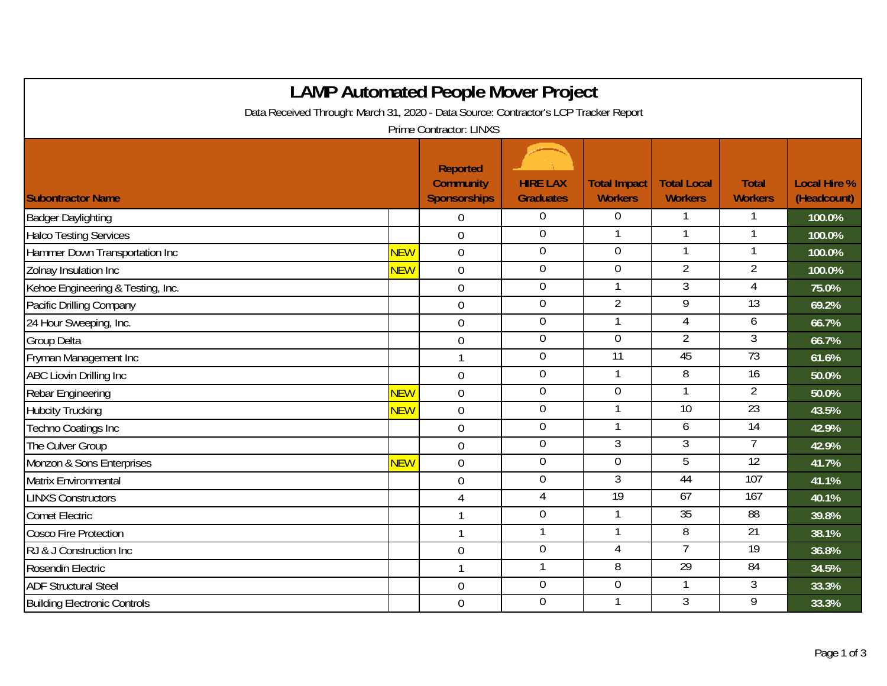| <b>LAMP Automated People Mover Project</b>                                           |            |                                                     |                                     |                                       |                                      |                                |                                    |  |  |
|--------------------------------------------------------------------------------------|------------|-----------------------------------------------------|-------------------------------------|---------------------------------------|--------------------------------------|--------------------------------|------------------------------------|--|--|
| Data Received Through: March 31, 2020 - Data Source: Contractor's LCP Tracker Report |            |                                                     |                                     |                                       |                                      |                                |                                    |  |  |
| Prime Contractor: LINXS                                                              |            |                                                     |                                     |                                       |                                      |                                |                                    |  |  |
| <b>Subontractor Name</b>                                                             |            | Reported<br><b>Community</b><br><b>Sponsorships</b> | <b>HIRE LAX</b><br><b>Graduates</b> | <b>Total Impact</b><br><b>Workers</b> | <b>Total Local</b><br><b>Workers</b> | <b>Total</b><br><b>Workers</b> | <b>Local Hire %</b><br>(Headcount) |  |  |
| <b>Badger Daylighting</b>                                                            |            | $\Omega$                                            | $\Omega$                            | $\Omega$                              |                                      |                                | 100.0%                             |  |  |
| <b>Halco Testing Services</b>                                                        |            | $\overline{0}$                                      | $\mathbf 0$                         |                                       | 1                                    |                                | 100.0%                             |  |  |
| Hammer Down Transportation Inc                                                       | <b>NEW</b> | $\mathbf 0$                                         | $\boldsymbol{0}$                    | $\mathbf 0$                           |                                      |                                | 100.0%                             |  |  |
| Zolnay Insulation Inc                                                                | <b>NEW</b> | $\overline{0}$                                      | $\overline{0}$                      | $\overline{0}$                        | $\overline{2}$                       | $\overline{2}$                 | 100.0%                             |  |  |
| Kehoe Engineering & Testing, Inc.                                                    |            | $\mathbf 0$                                         | $\mathbf 0$                         |                                       | $\overline{3}$                       | 4                              | 75.0%                              |  |  |
| Pacific Drilling Company                                                             |            | $\overline{0}$                                      | $\mathbf 0$                         | $\overline{2}$                        | 9                                    | 13                             | 69.2%                              |  |  |
| 24 Hour Sweeping, Inc.                                                               |            | $\overline{0}$                                      | $\overline{0}$                      |                                       | 4                                    | 6                              | 66.7%                              |  |  |
| Group Delta                                                                          |            | $\mathbf 0$                                         | $\mathbf 0$                         | $\mathbf 0$                           | $\overline{2}$                       | 3                              | 66.7%                              |  |  |
| Fryman Management Inc                                                                |            | $\mathbf{1}$                                        | $\overline{0}$                      | $\overline{11}$                       | 45                                   | 73                             | 61.6%                              |  |  |
| ABC Liovin Drilling Inc                                                              |            | $\overline{0}$                                      | $\boldsymbol{0}$                    | $\mathbf{1}$                          | 8                                    | 16                             | 50.0%                              |  |  |
| Rebar Engineering                                                                    | <b>NEW</b> | $\mathbf 0$                                         | $\overline{0}$                      | $\overline{0}$                        | 1                                    | $\overline{2}$                 | 50.0%                              |  |  |
| <b>Hubcity Trucking</b>                                                              | <b>NEW</b> | $\mathbf 0$                                         | $\overline{0}$                      |                                       | 10                                   | 23                             | 43.5%                              |  |  |
| Techno Coatings Inc                                                                  |            | $\overline{0}$                                      | $\overline{0}$                      | $\mathbf{1}$                          | 6                                    | 14                             | 42.9%                              |  |  |
| The Culver Group                                                                     |            | $\overline{0}$                                      | $\mathbf 0$                         | 3                                     | 3                                    | $\overline{7}$                 | 42.9%                              |  |  |
| Monzon & Sons Enterprises                                                            | <b>NEW</b> | $\overline{0}$                                      | $\mathbf 0$                         | $\overline{0}$                        | $\overline{5}$                       | $\overline{12}$                | 41.7%                              |  |  |
| Matrix Environmental                                                                 |            | $\mathbf 0$                                         | $\mathbf 0$                         | 3                                     | 44                                   | 107                            | 41.1%                              |  |  |
| <b>LINXS Constructors</b>                                                            |            | $\overline{4}$                                      | $\overline{4}$                      | 19                                    | 67                                   | 167                            | 40.1%                              |  |  |
| <b>Comet Electric</b>                                                                |            | 1                                                   | $\overline{0}$                      |                                       | 35                                   | 88                             | 39.8%                              |  |  |
| Cosco Fire Protection                                                                |            | $\mathbf{1}$                                        | 1                                   | 1                                     | 8                                    | 21                             | 38.1%                              |  |  |
| RJ & J Construction Inc                                                              |            | $\boldsymbol{0}$                                    | $\overline{0}$                      | $\overline{4}$                        | $\overline{7}$                       | 19                             | 36.8%                              |  |  |
| Rosendin Electric                                                                    |            | $\mathbf{1}$                                        | 1                                   | 8                                     | 29                                   | 84                             | 34.5%                              |  |  |
| <b>ADF Structural Steel</b>                                                          |            | $\mathbf 0$                                         | $\overline{0}$                      | $\overline{0}$                        | 1                                    | $\overline{3}$                 | 33.3%                              |  |  |
| <b>Building Electronic Controls</b>                                                  |            | $\mathbf 0$                                         | $\mathbf 0$                         |                                       | 3                                    | 9                              | 33.3%                              |  |  |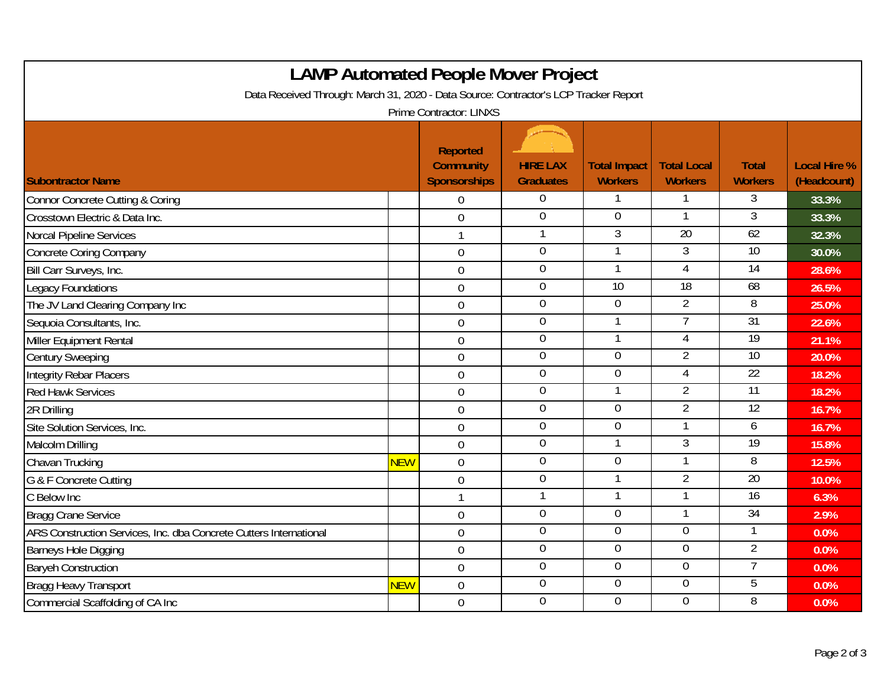| <b>LAMP Automated People Mover Project</b><br>Data Received Through: March 31, 2020 - Data Source: Contractor's LCP Tracker Report |            |                                                                                |                                     |                                       |                                      |                                |                                    |  |
|------------------------------------------------------------------------------------------------------------------------------------|------------|--------------------------------------------------------------------------------|-------------------------------------|---------------------------------------|--------------------------------------|--------------------------------|------------------------------------|--|
| <b>Subontractor Name</b>                                                                                                           |            | Prime Contractor: LINXS<br>Reported<br><b>Community</b><br><b>Sponsorships</b> | <b>HIRE LAX</b><br><b>Graduates</b> | <b>Total Impact</b><br><b>Workers</b> | <b>Total Local</b><br><b>Workers</b> | <b>Total</b><br><b>Workers</b> | <b>Local Hire %</b><br>(Headcount) |  |
| <b>Connor Concrete Cutting &amp; Coring</b>                                                                                        |            | $\overline{0}$                                                                 | $\overline{0}$                      | 1                                     | 1                                    | $\overline{3}$                 | 33.3%                              |  |
| Crosstown Electric & Data Inc.                                                                                                     |            | $\overline{0}$                                                                 | $\overline{0}$                      | 0                                     |                                      | $\overline{3}$                 | 33.3%                              |  |
| Norcal Pipeline Services                                                                                                           |            | $\mathbf{1}$                                                                   | $\mathbf{1}$                        | $\overline{3}$                        | 20                                   | 62                             | 32.3%                              |  |
| <b>Concrete Coring Company</b>                                                                                                     |            | $\mathbf 0$                                                                    | $\boldsymbol{0}$                    |                                       | 3                                    | 10                             | 30.0%                              |  |
| Bill Carr Surveys, Inc.                                                                                                            |            | $\boldsymbol{0}$                                                               | $\overline{0}$                      |                                       | 4                                    | 14                             | 28.6%                              |  |
| <b>Legacy Foundations</b>                                                                                                          |            | $\overline{0}$                                                                 | $\overline{0}$                      | 10                                    | 18                                   | 68                             | 26.5%                              |  |
| The JV Land Clearing Company Inc                                                                                                   |            | $\mathbf 0$                                                                    | $\boldsymbol{0}$                    | $\mathbf 0$                           | 2                                    | 8                              | 25.0%                              |  |
| Sequoia Consultants, Inc.                                                                                                          |            | $\mathbf 0$                                                                    | $\pmb{0}$                           | 1                                     | $\overline{7}$                       | 31                             | 22.6%                              |  |
| Miller Equipment Rental                                                                                                            |            | $\mathbf 0$                                                                    | $\boldsymbol{0}$                    | $\mathbf{1}$                          | 4                                    | 19                             | 21.1%                              |  |
| <b>Century Sweeping</b>                                                                                                            |            | $\mathbf 0$                                                                    | $\overline{0}$                      | $\overline{0}$                        | $\overline{2}$                       | 10                             | 20.0%                              |  |
| <b>Integrity Rebar Placers</b>                                                                                                     |            | $\mathbf 0$                                                                    | $\boldsymbol{0}$                    | $\mathbf 0$                           | $\overline{4}$                       | 22                             | 18.2%                              |  |
| <b>Red Hawk Services</b>                                                                                                           |            | $\overline{0}$                                                                 | $\mathbf 0$                         | $\mathbf{1}$                          | $\overline{2}$                       | 11                             | 18.2%                              |  |
| 2R Drilling                                                                                                                        |            | $\overline{0}$                                                                 | $\overline{0}$                      | $\overline{0}$                        | $\overline{2}$                       | 12                             | 16.7%                              |  |
| Site Solution Services, Inc.                                                                                                       |            | $\overline{0}$                                                                 | $\overline{0}$                      | $\overline{0}$                        |                                      | 6                              | 16.7%                              |  |
| Malcolm Drilling                                                                                                                   |            | $\overline{0}$                                                                 | $\overline{0}$                      |                                       | 3                                    | 19                             | 15.8%                              |  |
| Chavan Trucking                                                                                                                    | <b>NEW</b> | $\mathbf 0$                                                                    | $\boldsymbol{0}$                    | $\overline{0}$                        |                                      | 8                              | 12.5%                              |  |
| G & F Concrete Cutting                                                                                                             |            | $\overline{0}$                                                                 | $\mathbf 0$                         | $\mathbf{1}$                          | $\overline{2}$                       | 20                             | 10.0%                              |  |
| C Below Inc                                                                                                                        |            |                                                                                | 1                                   |                                       |                                      | $\overline{16}$                | 6.3%                               |  |
| <b>Bragg Crane Service</b>                                                                                                         |            | $\mathbf 0$                                                                    | $\mathbf 0$                         | $\overline{0}$                        |                                      | 34                             | 2.9%                               |  |
| ARS Construction Services, Inc. dba Concrete Cutters International                                                                 |            | $\mathbf 0$                                                                    | $\overline{0}$                      | $\overline{0}$                        | $\overline{0}$                       | 1                              | 0.0%                               |  |
| <b>Barneys Hole Digging</b>                                                                                                        |            | $\mathbf 0$                                                                    | $\boldsymbol{0}$                    | $\overline{0}$                        | $\mathbf 0$                          | $\overline{2}$                 | 0.0%                               |  |
| <b>Baryeh Construction</b>                                                                                                         |            | $\overline{0}$                                                                 | $\pmb{0}$                           | $\overline{0}$                        | $\overline{0}$                       | 7                              | 0.0%                               |  |
| <b>Bragg Heavy Transport</b>                                                                                                       | <b>NEW</b> | $\mathbf 0$                                                                    | $\mathbf 0$                         | $\overline{0}$                        | $\overline{0}$                       | 5                              | 0.0%                               |  |
| Commercial Scaffolding of CA Inc                                                                                                   |            | $\overline{0}$                                                                 | $\overline{0}$                      | $\overline{0}$                        | $\overline{0}$                       | 8                              | 0.0%                               |  |